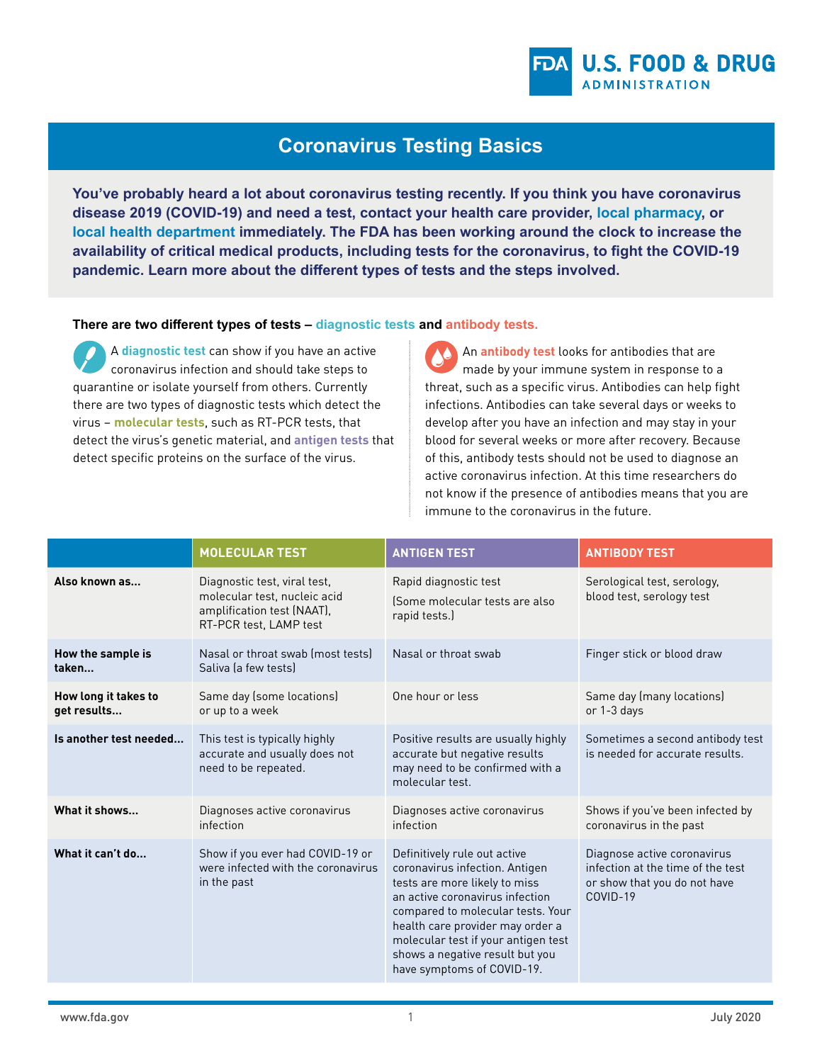

# **Coronavirus Testing Basics**

**You've probably heard a lot about coronavirus testing recently. If you think you have coronavirus disease 2019 (COVID-19) and need a test, contact your health care provider, [local pharmacy,](https://www.hhs.gov/coronavirus/community-based-testing-sites/index.html) or [local health department](https://www.naccho.org/membership/lhd-directory) immediately. The FDA has been working around the clock to increase the availability of critical medical products, including tests for the coronavirus, to fight the COVID-19 pandemic. Learn more about the different types of tests and the steps involved.**

**There are two different types of tests – diagnostic tests and antibody tests.**

A **diagnostic test** can show if you have an active coronavirus infection and should take steps to quarantine or isolate yourself from others. Currently there are two types of diagnostic tests which detect the virus – **molecular tests**, such as RT-PCR tests, that detect the virus's genetic material, and **antigen tests** that detect specific proteins on the surface of the virus.

An **antibody test** looks for antibodies that are made by your immune system in response to a threat, such as a specific virus. Antibodies can help fight infections. Antibodies can take several days or weeks to develop after you have an infection and may stay in your blood for several weeks or more after recovery. Because of this, antibody tests should not be used to diagnose an active coronavirus infection. At this time researchers do not know if the presence of antibodies means that you are immune to the coronavirus in the future.

|                                     | <b>MOLECULAR TEST</b>                                                                                                | <b>ANTIGEN TEST</b>                                                                                                                                                                                                                                                                                                 | <b>ANTIBODY TEST</b>                                                                                         |
|-------------------------------------|----------------------------------------------------------------------------------------------------------------------|---------------------------------------------------------------------------------------------------------------------------------------------------------------------------------------------------------------------------------------------------------------------------------------------------------------------|--------------------------------------------------------------------------------------------------------------|
| Also known as                       | Diagnostic test, viral test,<br>molecular test, nucleic acid<br>amplification test (NAAT),<br>RT-PCR test, LAMP test | Rapid diagnostic test<br>(Some molecular tests are also<br>rapid tests.)                                                                                                                                                                                                                                            | Serological test, serology,<br>blood test, serology test                                                     |
| How the sample is<br>taken          | Nasal or throat swab (most tests)<br>Saliva la few tests)                                                            | Nasal or throat swab                                                                                                                                                                                                                                                                                                | Finger stick or blood draw                                                                                   |
| How long it takes to<br>get results | Same day (some locations)<br>or up to a week                                                                         | One hour or less                                                                                                                                                                                                                                                                                                    | Same day (many locations)<br>or 1-3 days                                                                     |
| Is another test needed              | This test is typically highly<br>accurate and usually does not<br>need to be repeated.                               | Positive results are usually highly<br>accurate but negative results<br>may need to be confirmed with a<br>molecular test.                                                                                                                                                                                          | Sometimes a second antibody test<br>is needed for accurate results.                                          |
| What it shows                       | Diagnoses active coronavirus<br>infection                                                                            | Diagnoses active coronavirus<br>infection                                                                                                                                                                                                                                                                           | Shows if you've been infected by<br>coronavirus in the past                                                  |
| What it can't do                    | Show if you ever had COVID-19 or<br>were infected with the coronavirus<br>in the past                                | Definitively rule out active<br>coronavirus infection. Antigen<br>tests are more likely to miss<br>an active coronavirus infection<br>compared to molecular tests. Your<br>health care provider may order a<br>molecular test if your antigen test<br>shows a negative result but you<br>have symptoms of COVID-19. | Diagnose active coronavirus<br>infection at the time of the test<br>or show that you do not have<br>COVID-19 |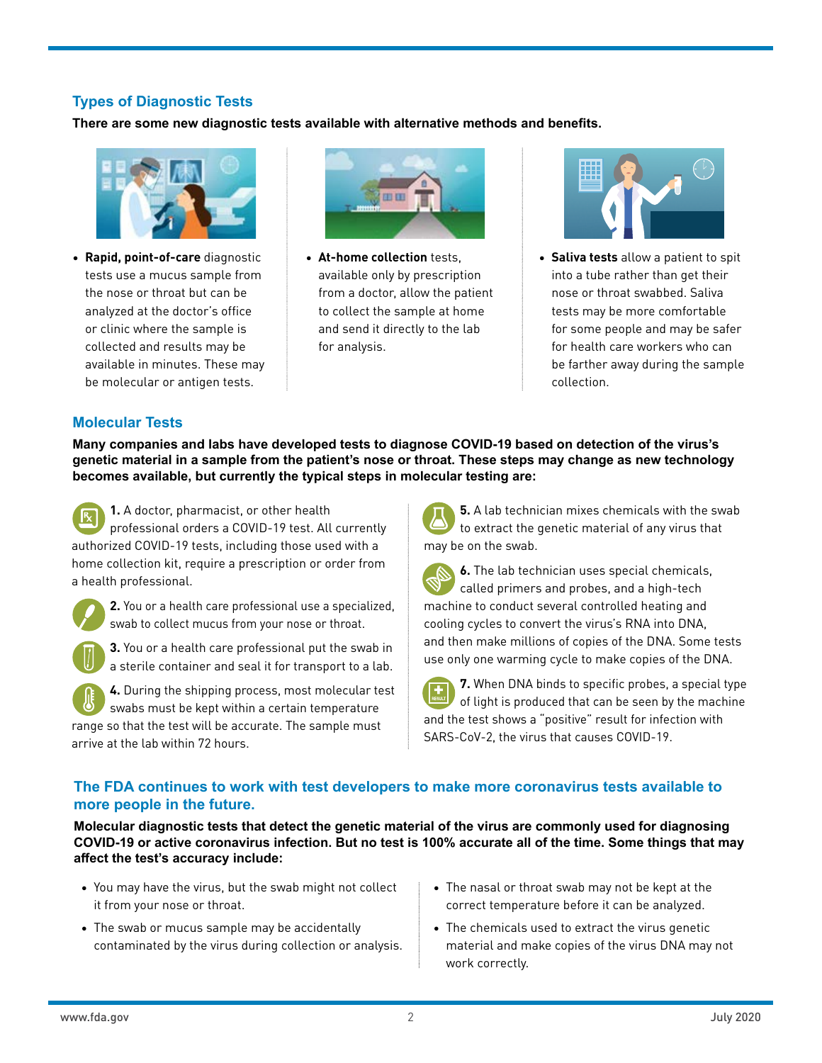# **Types of Diagnostic Tests**

**There are some new diagnostic tests available with alternative methods and benefits.**



• **Rapid, point-of-care** diagnostic tests use a mucus sample from the nose or throat but can be analyzed at the doctor's office or clinic where the sample is collected and results may be available in minutes. These may be molecular or antigen tests.



• **At-home collection** tests, available only by prescription from a doctor, allow the patient to collect the sample at home and send it directly to the lab for analysis.



• **Saliva tests** allow a patient to spit into a tube rather than get their nose or throat swabbed. Saliva tests may be more comfortable for some people and may be safer for health care workers who can be farther away during the sample collection.

## **Molecular Tests**

**Many companies and labs have developed tests to diagnose COVID-19 based on detection of the virus's genetic material in a sample from the patient's nose or throat. These steps may change as new technology becomes available, but currently the typical steps in molecular testing are:**

**1.** A doctor, pharmacist, or other health professional orders a COVID-19 test. All currently authorized COVID-19 tests, including those used with a home collection kit, require a prescription or order from a health professional.



**2.** You or a health care professional use a specialized, swab to collect mucus from your nose or throat.

**3.** You or a health care professional put the swab in a sterile container and seal it for transport to a lab.

**4.** During the shipping process, most molecular test swabs must be kept within a certain temperature range so that the test will be accurate. The sample must arrive at the lab within 72 hours.

**5.** A lab technician mixes chemicals with the swab to extract the genetic material of any virus that may be on the swab.

**6.** The lab technician uses special chemicals, called primers and probes, and a high-tech machine to conduct several controlled heating and cooling cycles to convert the virus's RNA into DNA, and then make millions of copies of the DNA. Some tests use only one warming cycle to make copies of the DNA.

**7.** When DNA binds to specific probes, a special type of light is produced that can be seen by the machine and the test shows a "positive" result for infection with SARS-CoV-2, the virus that causes COVID-19.

### **The FDA continues to work with test developers to make more coronavirus tests available to more people in the future.**

**Molecular diagnostic tests that detect the genetic material of the virus are commonly used for diagnosing COVID-19 or active coronavirus infection. But no test is 100% accurate all of the time. Some things that may affect the test's accuracy include:**

- You may have the virus, but the swab might not collect it from your nose or throat.
- The swab or mucus sample may be accidentally contaminated by the virus during collection or analysis.
- The nasal or throat swab may not be kept at the correct temperature before it can be analyzed.
- The chemicals used to extract the virus genetic material and make copies of the virus DNA may not work correctly.